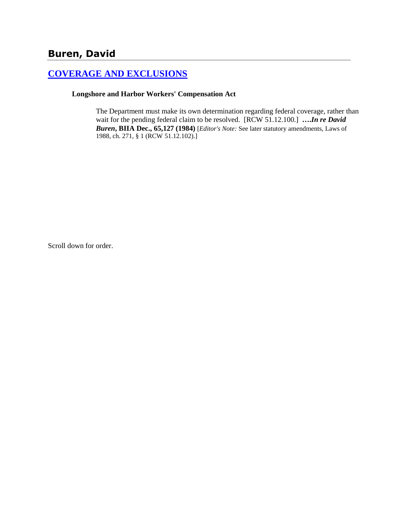# **Buren, David**

## **[COVERAGE AND EXCLUSIONS](http://www.biia.wa.gov/SDSubjectIndex.html#COVERAGE_AND_EXCLUSIONS)**

#### **Longshore and Harbor Workers' Compensation Act**

The Department must make its own determination regarding federal coverage, rather than wait for the pending federal claim to be resolved. [RCW 51.12.100.] **….***In re David Buren***, BIIA Dec., 65,127 (1984)** [*Editor's Note:* See later statutory amendments, Laws of 1988, ch. 271, § 1 (RCW 51.12.102).]

Scroll down for order.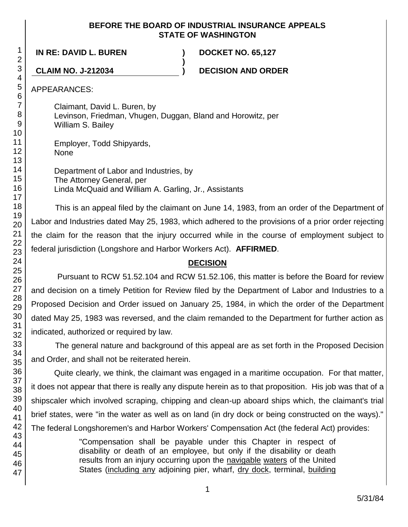#### **BEFORE THE BOARD OF INDUSTRIAL INSURANCE APPEALS STATE OF WASHINGTON**

**IN RE: DAVID L. BUREN ) DOCKET NO. 65,127**

**CLAIM NO. J-212034 ) DECISION AND ORDER**

APPEARANCES:

Claimant, David L. Buren, by Levinson, Friedman, Vhugen, Duggan, Bland and Horowitz, per William S. Bailey

**)**

Employer, Todd Shipyards, None

Department of Labor and Industries, by The Attorney General, per Linda McQuaid and William A. Garling, Jr., Assistants

This is an appeal filed by the claimant on June 14, 1983, from an order of the Department of Labor and Industries dated May 25, 1983, which adhered to the provisions of a prior order rejecting the claim for the reason that the injury occurred while in the course of employment subject to federal jurisdiction (Longshore and Harbor Workers Act). **AFFIRMED**.

## **DECISION**

Pursuant to RCW 51.52.104 and RCW 51.52.106, this matter is before the Board for review and decision on a timely Petition for Review filed by the Department of Labor and Industries to a Proposed Decision and Order issued on January 25, 1984, in which the order of the Department dated May 25, 1983 was reversed, and the claim remanded to the Department for further action as indicated, authorized or required by law.

The general nature and background of this appeal are as set forth in the Proposed Decision and Order, and shall not be reiterated herein.

Quite clearly, we think, the claimant was engaged in a maritime occupation. For that matter, it does not appear that there is really any dispute herein as to that proposition. His job was that of a shipscaler which involved scraping, chipping and clean-up aboard ships which, the claimant's trial brief states, were "in the water as well as on land (in dry dock or being constructed on the ways)." The federal Longshoremen's and Harbor Workers' Compensation Act (the federal Act) provides:

> "Compensation shall be payable under this Chapter in respect of disability or death of an employee, but only if the disability or death results from an injury occurring upon the navigable waters of the United States (including any adjoining pier, wharf, dry dock, terminal, building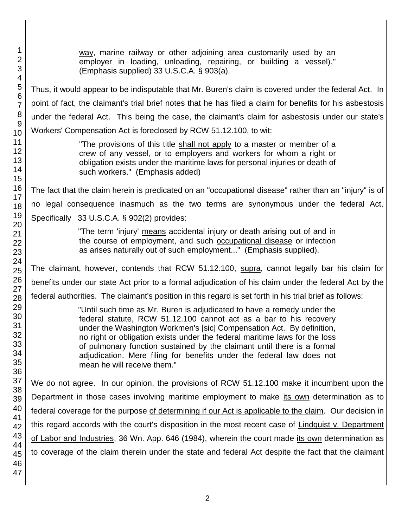1 47 way, marine railway or other adjoining area customarily used by an employer in loading, unloading, repairing, or building a vessel)." (Emphasis supplied) 33 U.S.C.A. § 903(a). Thus, it would appear to be indisputable that Mr. Buren's claim is covered under the federal Act. In point of fact, the claimant's trial brief notes that he has filed a claim for benefits for his asbestosis under the federal Act. This being the case, the claimant's claim for asbestosis under our state's Workers' Compensation Act is foreclosed by RCW 51.12.100, to wit: "The provisions of this title shall not apply to a master or member of a crew of any vessel, or to employers and workers for whom a right or obligation exists under the maritime laws for personal injuries or death of such workers." (Emphasis added) The fact that the claim herein is predicated on an "occupational disease" rather than an "injury" is of no legal consequence inasmuch as the two terms are synonymous under the federal Act. Specifically 33 U.S.C.A. § 902(2) provides: "The term 'injury' means accidental injury or death arising out of and in the course of employment, and such occupational disease or infection as arises naturally out of such employment..." (Emphasis supplied). The claimant, however, contends that RCW 51.12.100, supra, cannot legally bar his claim for benefits under our state Act prior to a formal adjudication of his claim under the federal Act by the federal authorities. The claimant's position in this regard is set forth in his trial brief as follows: "Until such time as Mr. Buren is adjudicated to have a remedy under the federal statute, RCW 51.12.100 cannot act as a bar to his recovery under the Washington Workmen's [sic] Compensation Act. By definition, no right or obligation exists under the federal maritime laws for the loss of pulmonary function sustained by the claimant until there is a formal adjudication. Mere filing for benefits under the federal law does not mean he will receive them." We do not agree. In our opinion, the provisions of RCW 51.12.100 make it incumbent upon the Department in those cases involving maritime employment to make its own determination as to federal coverage for the purpose of determining if our Act is applicable to the claim. Our decision in this regard accords with the court's disposition in the most recent case of Lindquist v. Department of Labor and Industries, 36 Wn. App. 646 (1984), wherein the court made its own determination as to coverage of the claim therein under the state and federal Act despite the fact that the claimant